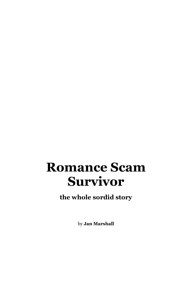# **Romance Scam Survivor**

**the whole sordid story**

by **Jan Marshall**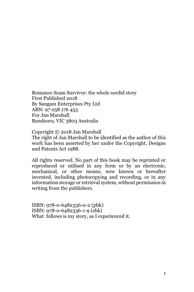Romance Scam Survivor: the whole sordid story First Published 2018 By Sangam Enterprises Pty Ltd ABN: 97 058 176 453 For Jan Marshall Bundoora, VIC 3803 Australia

Copyright © 2018 Jan Marshall The right of Jan Marshall to be identified as the author of this work has been asserted by her under the Copyright, Designs and Patents Act 1988.

All rights reserved. No part of this book may be reprinted or reproduced or utilised in any form or by an electronic, mechanical, or other means, now known or hereafter invented, including photocopying and recording, or in any information storage or retrieval system, without permission in writing from the publishers.

ISBN: 978-0-6482336-0-2 (pbk) ISBN: 978-0-6482336-1-9 (ebk) What follows is my story, as I experienced it.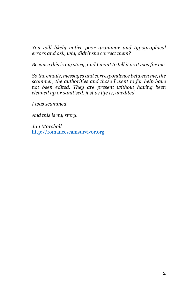*You will likely notice poor grammar and typographical errors and ask, why didn't she correct them?*

*Because this is my story, and I want to tell it as it was for me.*

*So the emails, messages and correspondence between me, the scammer, the authorities and those I went to for help have not been edited. They are present without having been cleaned up or sanitised, just as life is, unedited.*

*I was scammed.*

*And this is my story.*

*Jan Marshall* [http://romancescamsurvivor.org](http://romancescamsurvivor.org/)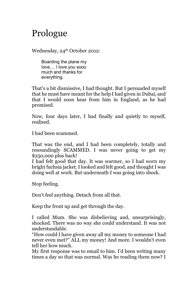## Prologue

Wednesday, 24<sup>th</sup> October 2012:

Boarding the plane my love.... I love you sooo much and thanks for everything.

That's a bit dismissive, I had thought. But I persuaded myself that he must have meant for the help I had given in Dubai, and that I would soon hear from him in England, as he had promised.

Now, four days later, I had finally and quietly to myself, realised.

I had been scammed.

That was the end, and I had been completely, totally and resoundingly SCAMMED. I was never going to get my \$250,000 plus back!

I had felt good that day. It was warmer, so I had worn my bright fuchsia jacket. I looked and felt good, and thought I was doing well at work. But underneath I was going into shock.

Stop feeling.

Don't feel anything. Detach from all that.

Keep the front up and get through the day.

I called Mum. She was disbelieving and, unsurprisingly, shocked. There was no way she could understand. It was not understandable.

"How could I have given away all my money to someone I had never even met?" ALL my money! And more. I wouldn't even tell her how much.

My first response was to email to him. I'd been writing many times a day so that was normal. Was he reading them now? I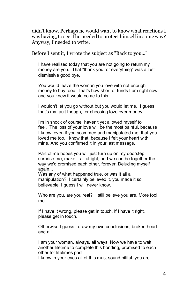didn't know. Perhaps he would want to know what reactions I was having, to see if he needed to protect himself in some way? Anyway, I needed to write.

Before I sent it, I wrote the subject as "Back to you..."

I have realised today that you are not going to return my money are you. That "thank you for everything" was a last dismissive good bye.

You would leave the woman you love with not enough money to buy food. That's how short of funds I am right now and you knew it would come to this.

I wouldn't let you go without but you would let me. I guess that's my fault though, for choosing love over money.

I'm in shock of course, haven't yet allowed myself to feel. The loss of your love will be the most painful, because I know, even if you scammed and manipulated me, that you loved me too. I know that, because I felt your heart with mine. And you confirmed it in your last message.

Part of me hopes you will just turn up on my doorstep, surprise me, make it all alright, and we can be together the way we'd promised each other, forever. Deluding myself again...

Was any of what happened true, or was it all a manipulation? I certainly believed it, you made it so believable. I guess I will never know.

Who are you, are you real? I still believe you are. More fool me.

If I have it wrong, please get in touch. If I have it right, please get in touch.

Otherwise I guess I draw my own conclusions, broken heart and all.

I am your woman, always, all ways. Now we have to wait another lifetime to complete this bonding, promised to each other for lifetimes past.

I know in your eyes all of this must sound pitiful, you are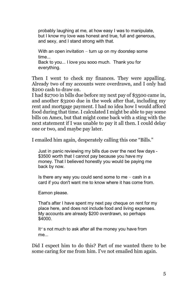probably laughing at me, at how easy I was to manipulate, but I know my love was honest and true, full and generous, and sexy, and I stand strong with that.

With an open invitation – turn up on my doorstep some time... Back to you... I love you sooo much. Thank you for everything.

Then I went to check my finances. They were appalling. Already two of my accounts were overdrawn, and I only had \$200 cash to draw on.

I had \$2700 in bills due before my next pay of \$3500 came in, and another \$3200 due in the week after that, including my rent and mortgage payment. I had no idea how I would afford food during that time. I calculated I might be able to pay some bills on Amex, but that might come back with a sting with the next statement if I was unable to pay it all then. I could delay one or two, and maybe pay later.

I emailed him again, desperately calling this one "Bills."

Just in panic reviewing my bills due over the next few days - \$3500 worth that I cannot pay because you have my money. That I believed honestly you would be paying me back by now.

Is there any way you could send some to me  $-$  cash in a card if you don't want me to know where it has come from.

Eamon please.

That's after I have spent my next pay cheque on rent for my place here, and does not include food and living expenses. My accounts are already \$200 overdrawn, so perhaps \$4000.

It's not much to ask after all the money you have from me...

Did I expect him to do this? Part of me wanted there to be some caring for me from him. I've not emailed him again.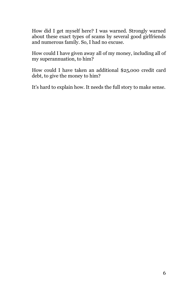How did I get myself here? I was warned. Strongly warned about these exact types of scams by several good girlfriends and numerous family. So, I had no excuse.

How could I have given away all of my money, including all of my superannuation, to him?

How could I have taken an additional \$25,000 credit card debt, to give the money to him?

It's hard to explain how. It needs the full story to make sense.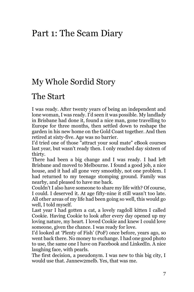### Part 1: The Scam Diary

#### My Whole Sordid Story

#### The Start

I was ready. After twenty years of being an independent and lone woman, I was ready. I'd seen it was possible. My landlady in Brisbane had done it, found a nice man, gone travelling to Europe for three months, then settled down to reshape the garden in his new home on the Gold Coast together. And then retired at sixty-five. Age was no barrier.

I'd tried one of those "attract your soul mate" eBook courses last year, but wasn't ready then. I only reached day sixteen of thirty.

There had been a big change and I was ready. I had left Brisbane and moved to Melbourne. I found a good job, a nice house, and it had all gone very smoothly, not one problem. I had returned to my teenage stomping ground. Family was nearby, and pleased to have me back.

Couldn't I also have someone to share my life with? Of course, I could. I deserved it. At age fifty-nine it still wasn't too late. All other areas of my life had been going so well, this would go well, I told myself.

Last year I had gotten a cat, a lovely ragdoll kitten I called Cookie. Having Cookie to look after every day opened up my loving nature, my heart. I loved Cookie and knew I could love someone, given the chance. I was ready for love.

I'd looked at 'Plenty of Fish' (PoF) once before, years ago, so went back there. No money to exchange. I had one good photo to use, the same one I have on Facebook and LinkedIn. A nice laughing face, with pearls.

The first decision, a pseudonym. I was new to this big city, I would use that. Jannew2melb. Yes, that was me.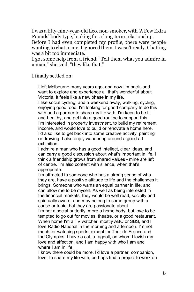I was a fifty-nine-year-old Leo, non-smoker, with 'A Few Extra Pounds' body type, looking for a long-term relationship.

Before I had even completed my profile, there were people wanting to chat to me. I ignored them. I wasn't ready. Chatting was a bit too immediate.

I got some help from a friend. "Tell them what you admire in a man," she said, "they like that."

I finally settled on:

I left Melbourne many years ago, and now I'm back, and want to explore and experience all that's wonderful about Victoria. It feels like a new phase in my life.

I like social cycling, and a weekend away, walking, cycling, enjoying good food. I'm looking for good company to do this with and a partner to share my life with. I'm keen to be fit and healthy, and get into a good routine to support this. I'm interested in property investment, to build my retirement income, and would love to build or renovate a home here. I'd also like to get back into some creative activity, painting or drawing. I also enjoy wandering around a good art exhibition.

I admire a man who has a good intellect, clear ideas, and can carry a good discussion about what's important in life. I think a friendship grows from shared values - mine are left of centre. I'm also content with silence, when that's appropriate.

I'm attracted to someone who has a strong sense of who they are, have a positive attitude to life and the challenges it brings. Someone who wants an equal partner in life, and can allow me to be myself. As well as being interested in the financial markets, they would be well read, socially and spiritually aware, and may belong to some group with a cause or topic that they are passionate about.

I'm not a social butterfly, more a home body, but love to be tempted to go out for movies, theatre, or a good restaurant. When home I'm a TV watcher, mostly ABC or SBS, and I love Radio National in the morning and afternoon. I'm not much for watching sports, except for Tour de France and the Olympics. I have a cat, a ragdoll, on whom I lavish my love and affection, and I am happy with who I am and where I am in life.

I know there could be more. I'd love a partner, companion, lover to share my life with, perhaps find a project to work on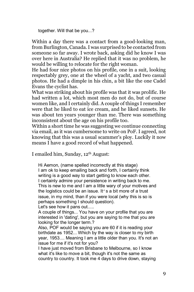together. Will that be you...?

Within a day there was a contact from a good-looking man, from Burlington, Canada. I was surprised to be contacted from someone so far away. I wrote back, asking did he know I was over here in Australia? He replied that it was no problem, he would be willing to relocate for the right woman.

He had four nice photos on his profile, one in a suit, looking respectably grey, one at the wheel of a yacht, and two casual photos. He had a dimple in his chin, a bit like the one Cadel Evans the cyclist has.

What was striking about his profile was that it was prolific. He had written a lot, which most men do not do, but of course women like, and I certainly did. A couple of things I remember were that he liked to eat ice cream, and he liked sunsets. He was about ten years younger than me. There was something inconsistent about the age on his profile too.

Within a short time he was suggesting we continue connecting via email, as it was cumbersome to write on PoF. I agreed, not knowing that this was a usual scammer's ploy. Luckily it now means I have a good record of what happened.

I emailed him, Sunday, 12th August:

Hi Aemon, (name spelled incorrectly at this stage) I am ok to keep emailing back and forth, I certainly think writing is a good way to start getting to know each other. I certainly admire your persistence in writing back to me. This is new to me and I am a little wary of your motives and the logistics could be an issue. It's a bit more of a trust issue, in my mind, than if you were local (why this is so is perhaps something I should question).

Let's see how it pans out.....

A couple of things... You have on your profile that you are interested in 'dating', but you are saying to me that you are looking for the longer term.?

Also, POF would be saying you are 60 if it is reading your birthdate as 1952... Which by the way is closer to my birth year, 1953.... Meaning I am a little older than you. It's not an issue for me if it's not for you?

I have just moved from Brisbane to Melbourne, so I know what it's like to move a bit, though it's not the same as country to country. It took me 4 days to drive down, staying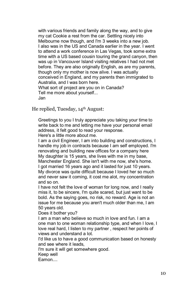with various friends and family along the way, and to give my cat Cookie a rest from the car. Settling nicely into Melbourne now though, and I'm 3 weeks into a new job. I also was in the US and Canada earlier in the year. I went to attend a work conference in Las Vegas, took some extra time with a US based cousin touring the grand canyon, then was up in Vancouver Island visiting relatives I had not met before. They are also originally English, as are my parents, though only my mother is now alive. I was actually conceived in England, and my parents then immigrated to Australia, and I was born here. What sort of project are you on in Canada? Tell me more about yourself... Jan

He replied, Tuesday, 14th August:

Greetings to you I truly appreciate you taking your time to write back to me and letting me have your personal email address, it felt good to read your response.

Here's a little more about me.

I am a civil Engineer, I am into building and constructions, I handle my job in contracts because I am self employed. I'm renovating and building new offices for a company here My daughter is 15 years, she lives with me in my base, Manchester England. She isn't with me now, she's home. I got married 16 years ago and it lasted for just 10 years. My divorce was quite difficult because I loved her so much and never saw it coming, it cost me alot, my concentration and so on.

I have not felt the love of woman for long now, and I really miss it, to be sincere, I'm quite scared, but just want to be bold. As the saying goes, no risk, no reward. Age is not an issue for me because you aren't much older than me, I am 50 years old.

Does it bother you?

I am a man who believe so much in love and fun. I am a one man to one woman relationship type, and when I love, I love real hard, I listen to my partner , respect her points of views and understand a lot.

I'd like us to have a good communication based on honesty and see where it leads,

I'm sure it will get somewhere good.

Keep well

Eamon....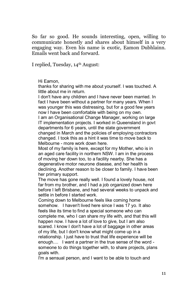So far so good. He sounds interesting, open, willing to communicate honestly and shares about himself in a very engaging way. Even his name is exotic, Eamon Dubhlainn. Emails went back and forward.

I replied, Tuesday, 14th August:

Hi Eamon,

thanks for sharing with me about yourself. I was touched. A little about me in return.

I don't have any children and I have never been married. In fact I have been without a partner for many years. When I was younger this was distressing, but for a good few years now I have been comfortable with being on my own.

I am an Organisational Change Manager, working on large IT implementation projects. I worked in Queensland in govt departments for 6 years, until the state government changed in March and the policies of employing contractors changed. I took this as a hint it was time to move back to Melbourne - more work down here.

Most of my family is here, except for my Mother, who is in an aged care facility in northern NSW. I am in the process of moving her down too, to a facility nearby. She has a degenerative motor neurone disease, and her health is declining. Another reason to be closer to family. I have been her primary support.

The move has gone really well. I found a lovely house, not far from my brother, and I had a job organized down here before I left Brisbane, and had several weeks to unpack and settle in before I started work.

Coming down to Melbourne feels like coming home somehow. I haven't lived here since I was 17 yo. It also feels like its time to find a special someone who can complete me, who I can share my life with, and that this will happen now. I have a lot of love to give, but I am also scared. I know I don't have a lot of baggage in other areas of my life, but I don't know what might come up in a relationship. I just have to trust that life experience will be enough.... I want a partner in the true sense of the word someone to do things together with, to share projects, plans goals with.

I'm a sensual person, and I want to be able to touch and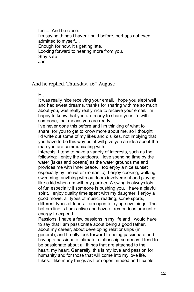feel.... And be close. I'm saying things i haven't said before, perhaps not even admitted to myself.... Enough for now, it's getting late. Looking forward to hearing more from you, Stay safe Jan

#### And he replied, Thursday, 16<sup>th</sup> August:

Hi,

It was really nice receiving your email, I hope you slept well and had sweet dreams. thanks for sharing with me so much about you, was really really nice to receive your email. I'm happy to know that you are ready to share your life with someone, that means you are ready.

I've never done this before and I'm thinking of what to share, for you to get to know more about me, so I thought I'd write out some of my likes and dislikes, not implying that you have to be this way but it will give you an idea about the man you are communicating with.

Interests: I tend to have a variety of interests, such as the following: I enjoy the outdoors. I love spending time by the water (lakes and oceans) as the water grounds me and provides me with inner peace. I too enjoy a nice sunset especially by the water (romantic). I enjoy cooking, walking, swimming, anything with outdoors involvement and playing like a kid when am with my partner. A swing is always lots of fun especially if someone is pushing you. I have a playful spirit. I enjoy quality time spent with my daughter. I enjoy a good movie, all types of music, reading, some sports, different types of foods. I am open to trying new things. The bottom line is I am active and have a tremendous amount of

energy to expend.

Passions: I have a few passions in my life and I would have to say that I am passionate about being a good father, about my career, about developing relationships (in general), and I really look forward to being passionate and having a passionate intimate relationship someday. I tend to be passionate about all things that are attached to the heart, my heart. Generally, this is my love and passion for humanity and for those that will come into my love life. Likes: I like many things as I am open minded and flexible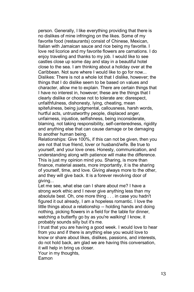person. Generally, I like everything providing that there is no dislikes of mine infringing on the likes. Some of my favorite food (restaurants) consist of Chinese, Mexican, Italian with Jamaican sauce and rice being my favorite. I love red licorice and my favorite flowers are carnations. I do enjoy traveling and thanks to my job. I would like to see castles close up some day and stay in a beautiful hotel close to the sea. I am thinking about a holiday over at the Caribbean. Not sure where I would like to go for now... Dislikes: There is not a whole lot that I dislike, however; the things that I do dislike seem to be based on values and character, allow me to explain. There are certain things that I have no interest in, however; these are the things that I clearly dislike or choose not to tolerate are: disrespect, unfaithfulness, dishonesty, lying, cheating, mean spitefulness, being judgmental, callousness, harsh words, hurtful acts, untrustworthy people, displaced anger, unfairness, injustice, selfishness, being inconsiderate, blaming, not taking responsibility, self-centeredness, rigidity and anything else that can cause damage or be damaging to another human being.

Relationships: Give 100%, if this can not be given, then you are not that true friend, lover or husband/wife. Be true to yourself, and your love ones. Honesty, communication, and understanding along with patience will make the difference. This is just my opinion mind you. Sharing, is more than finance, material assets, more importantly, it is the sharing of yourself, time, and love. Giving always more to the other, and they will give back. It is a forever revolving door of giving...

Let me see, what else can I share about me? I have a strong work ethic and I never give anything less than my absolute best. Oh, one more thing . . . in case you hadn't figured it out already, I am a hopeless romantic. I love the little things about a relationship -- holding hands and doing nothing, picking flowers in a field for the table for dinner, watching a butterfly go by as you're walking! I know, it probably sounds silly but it's me.

I trust that you are having a good week. I would love to hear from you and if there is anything else you would love to know or share about likes, dislikes, passions, and interests, do not hold back, am glad we are having this conversation, it will help in bring us closer.

Your in my thoughts,

Eamon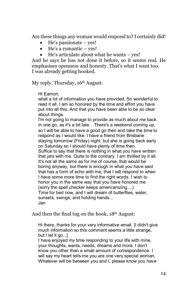Are these things any woman would respond to? I certainly did!

- He's passionate yes!
- He's a romantic yes!
- He's articulate about what he wants yes!

And he says he has not done it before, so it seems real. He emphasises openness and honesty. That's what I want too. I was already getting hooked.

My reply, Thursday, 16<sup>th</sup> August:

Hi Eamon,

what a lot of information you have provided. So wonderful to read it all. I am so honored by the time and effort you have put into all this. And that you have been able to be so clear about things.

I'm not going to manage to provide as much about me back in one go, as it's a bit late. There's a weekend coming up, so I will be able to have a good go then and take the time to respond as I would like. I have a friend from Brisbane staying tomorrow (Friday) night, but she is going back early on Saturday so I should have plenty of time then. Suffice to say that there is nothing in what you have written that jars with me. Quite to the contrary, I am thrilled by it all. It's not all the same as for me of course, that would be boring anyway, but there is enough in what you have said that has a form of echo with me, that I will respond to when I have some more time to find the right words. I wish to honor you in the same way that you have honored me (sorry the spell checker keeps americanizing....) Time for bed now, and I will dream of butterflies, water, sunsets, swings, and holding hands... Jan

And then the final tug on the hook, 18th August:

Hi there, thanks for your very informative email. [I didn't give much information so this comment seems a little strange, but I let it go...

I have enjoyed my time responding to your life with mine, your thoughts, wants, needs, dreams and more. I don't know you other than a small amount of correspondence. I will say my heart tells me you are one very special woman. Whatever will be between you and I, please know you have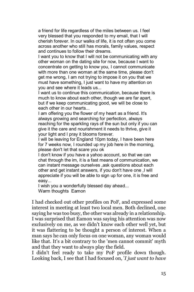a friend for life regardless of the miles between us. I feel very blessed that you responded to my email, that I will cherish forever. In our walks of life, it is not often you come across another who still has morals, family values, respect and continues to follow their dreams.

I want you to know that I will not be communicating with any other woman on the dating site for now, because I want to concentrate on getting to know you, I cannot communicate with more than one woman at the same time, please don't get me wrong, I am not trying to impose it on you that we must have something, I just want to have my attention on you and see where it leads us...

I want us to continue this communication, because there is much to know about each other, though we are far apart, but if we keep communicating good, we will be close to each other in our hearts...

I am offering you the flower of my heart as a friend. It's always growing and searching for perfection, always reaching for the sparkling rays of the sun but only if you can give it the care and nourishment it needs to thrive, give it your light and I pray it blooms forever.

I will be leaving for England 10pm today, I have been here for 7 weeks now, I rounded up my job here in the morning, please don't let that scare you ok

I don't know if you have a yahoo account, so that we can chat through the im, it is a fast means of communication, we can instant message ourselves ,ask questions about each other and get instant answers, if you don't have one ,I will appreciate if you will be able to sign up for one, it is free and easy...

I wish you a wonderfully blessed day ahead... Warm thoughts Eamon

I had checked out other profiles on PoF, and expressed some interest in meeting at least two local men. Both declined, one saying he was too busy, the other was already in a relationship. I was surprised that Eamon was saying his attention was now exclusively on me, as we didn't know each other well yet, but it was flattering to be thought a person of interest. When a man says he can only focus on one woman, any woman would like that. It's a bit contrary to the 'men cannot commit' myth and that they want to always play the field.

I didn't feel ready to take my PoF profile down though. Looking back, I see that I had focused on, '*I just want to have*